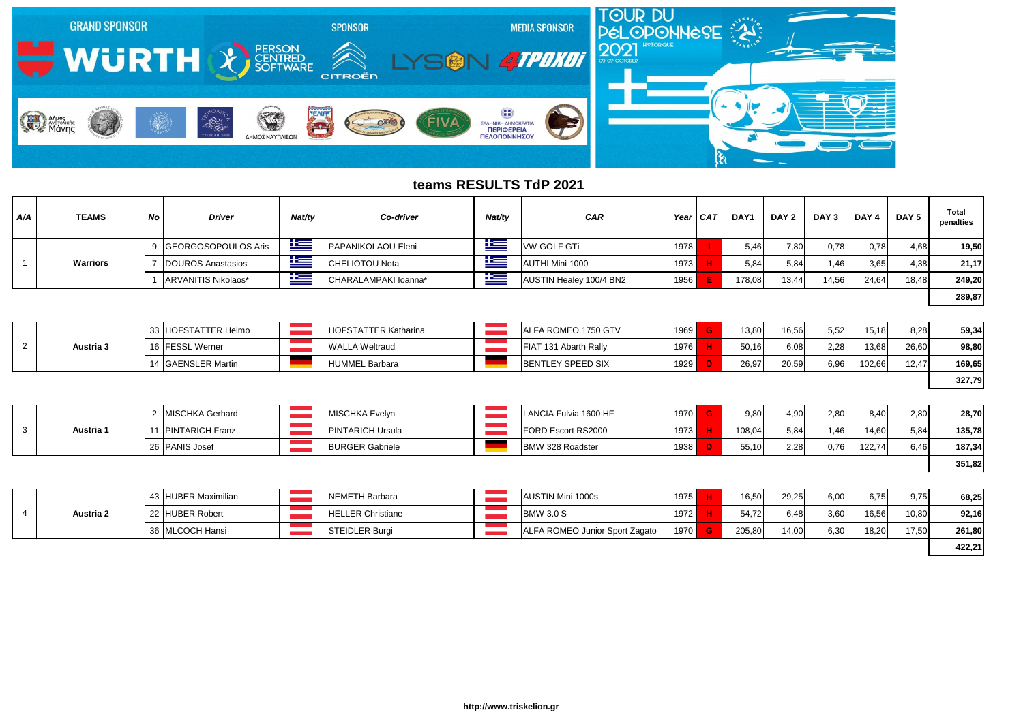| A/A | <b>TEAMS</b>    | No | <b>Driver</b>       | Nat/ty      | Co-driver            | Nat/ty     | <b>CAR</b>              | Year   CAT | DAY    | DAY 2 | DAY 3 | DAY 4 | DAY 5 | <b>Total</b><br>penalties |
|-----|-----------------|----|---------------------|-------------|----------------------|------------|-------------------------|------------|--------|-------|-------|-------|-------|---------------------------|
|     |                 |    | GEORGOSOPOULOS Aris | <u>ik –</u> | PAPANIKOLAOU Eleni   | كنا        | <b>VW GOLF GTi</b>      | 1978       | 5,46   | 7,80  | 0,78  | 0,78  | 4,68  | 19,50                     |
|     | <b>Warriors</b> |    | DOUROS Anastasios   | <u>is a</u> | CHELIOTOU Nota       | <u>iks</u> | AUTHI Mini 1000         | 1973       | 5,84   | 5,84  | 1,46  | 3,65  | 4,38  | 21,17                     |
|     |                 |    | ARVANITIS Nikolaos* | $\equiv$    | CHARALAMPAKI Ioanna* | ۲          | AUSTIN Healey 100/4 BN2 | 1956       | 178,08 | 13,44 | 14,56 | 24,64 | 18,48 | 249,20                    |
|     |                 |    |                     |             |                      |            |                         |            |        |       |       |       |       | 289,87                    |

|           | 33 HOFSTATTER Heimo | <b>HOFSTATTER Katharina</b> | ALFA ROMEO 1750 GTV      | 1969 | 13,80 | 16,56 | 5,52 | 15,18  | 8,28  | 59,34  |
|-----------|---------------------|-----------------------------|--------------------------|------|-------|-------|------|--------|-------|--------|
| Austria 3 | 16 FESSL Werner     | <b>WALLA Weltraud</b>       | FIAT 131 Abarth Rally    | 1976 | 50,16 | 6.08  | 2,28 | 13,68  | 26,60 | 98,80  |
|           | 14 GAENSLER Martin  | HUMMEL Barbara              | <b>BENTLEY SPEED SIX</b> | 1929 | 26,97 | 20,59 | 6,96 | 102,66 | 12,47 | 169,65 |
|           |                     |                             |                          |      |       |       |      |        |       | 327,79 |

| 28,70  | 2,80 | 8,40   | 2,80 | 4,90 |
|--------|------|--------|------|------|
| 135,78 | 5,84 | 14,60  | 1,46 | 5,84 |
| 187,34 | 6,46 | 122,74 | 0,76 | 2,28 |
| 351,82 |      |        |      |      |

|                  | MISCHKA Gerhard        | <b>IMISCHKA Evelyn</b>  | LANCIA Fulvia 1600 HF   | 1970 <b> </b> | 9,80   | 4,90 | 2,80 | 8.40   | 2,80 | 28,70  |
|------------------|------------------------|-------------------------|-------------------------|---------------|--------|------|------|--------|------|--------|
| <b>Austria 1</b> | <b>PINTARICH Franz</b> | <b>PINTARICH Ursula</b> | FORD Escort RS2000      | 1973          | 108,04 | 5,84 | l.46 | 14,60  | 5,84 | 135,78 |
|                  | 26 PANIS Josef         | <b>BURGER Gabriele</b>  | <b>BMW 328 Roadster</b> | 1938          | 55,10  | 2,28 | 0,76 | 122,74 | 6,46 | 187,34 |

|           | 43 HUBER Maximilian | NEMETH Barbara           | AUSTIN Mini 1000s              | 1975 | 16,50  | 29,25 | 6,00 | 6,75  | 9,75  | 68,25  |
|-----------|---------------------|--------------------------|--------------------------------|------|--------|-------|------|-------|-------|--------|
| Austria 2 | 22 HUBER Robert     | <b>HELLER Christiane</b> | <b>BMW 3.0 S</b>               | 1972 | 54,72  | 6,48  | 3,60 | 16,56 | 10,80 | 92,16  |
|           | 36 MLCOCH Hansi     | <b>STEIDLER Burgi</b>    | ALFA ROMEO Junior Sport Zagato | 1970 | 205,80 | 14,00 | 6,30 | 18,20 | 17,50 | 261,80 |
|           |                     |                          |                                |      |        |       |      |       |       | 422,21 |



## **teams RESULTS TdP 2021**